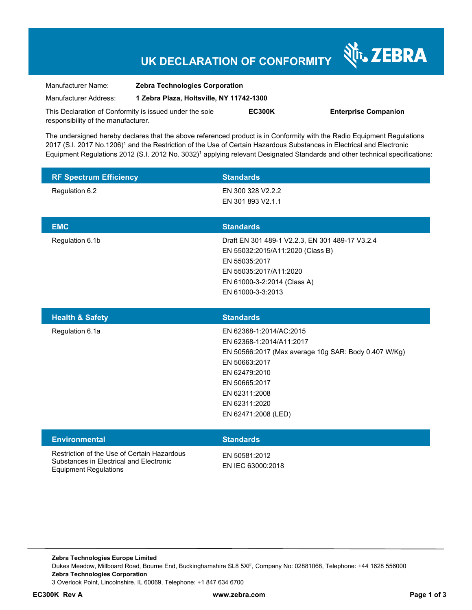# **UK DECLARATION OF CONFORMITY**

Nr. ZEBRA

| Manufacturer Name:                                      | <b>Zebra Technologies Corporation</b>    |               |                             |
|---------------------------------------------------------|------------------------------------------|---------------|-----------------------------|
| Manufacturer Address:                                   | 1 Zebra Plaza, Holtsville, NY 11742-1300 |               |                             |
| This Declaration of Conformity is issued under the sole |                                          | <b>EC300K</b> | <b>Enterprise Companion</b> |
| responsibility of the manufacturer.                     |                                          |               |                             |

The undersigned hereby declares that the above referenced product is in Conformity with the Radio Equipment Regulations 2017 (S.I. 2017 No.1206)<sup>1</sup> and the Restriction of the Use of Certain Hazardous Substances in Electrical and Electronic Equipment Regulations 2012 (S.I. 2012 No. 3032)<sup>1</sup> applying relevant Designated Standards and other technical specifications:

| <b>RF Spectrum Efficiency</b> | <b>Standards</b>                                |
|-------------------------------|-------------------------------------------------|
| Regulation 6.2                | EN 300 328 V2.2.2                               |
|                               | EN 301 893 V2.1.1                               |
|                               |                                                 |
| <b>EMC</b>                    | <b>Standards</b>                                |
| Regulation 6.1b               | Draft EN 301 489-1 V2.2.3, EN 301 489-17 V3.2.4 |
|                               | EN 55032:2015/A11:2020 (Class B)                |
|                               | EN 55035:2017                                   |
|                               | EN 55035:2017/A11:2020                          |
|                               | EN 61000-3-2:2014 (Class A)                     |
|                               | EN 61000-3-3:2013                               |

| <b>Health &amp; Safety</b> | <b>Standards</b>                                     |
|----------------------------|------------------------------------------------------|
| Regulation 6.1a            | EN 62368-1:2014/AC:2015                              |
|                            | EN 62368-1:2014/A11:2017                             |
|                            | EN 50566:2017 (Max average 10g SAR: Body 0.407 W/Kg) |
|                            | EN 50663:2017                                        |
|                            | EN 62479:2010                                        |
|                            | EN 50665:2017                                        |
|                            | EN 62311:2008                                        |
|                            | EN 62311:2020                                        |
|                            | EN 62471:2008 (LED)                                  |
|                            |                                                      |

| <b>Environmental</b>                                                                                                   | <b>Standards</b>                   |
|------------------------------------------------------------------------------------------------------------------------|------------------------------------|
| Restriction of the Use of Certain Hazardous<br>Substances in Electrical and Electronic<br><b>Equipment Regulations</b> | FN 50581:2012<br>EN IEC 63000:2018 |

**Zebra Technologies Europe Limited**  Dukes Meadow, Millboard Road, Bourne End, Buckinghamshire SL8 5XF, Company No: 02881068, Telephone: +44 1628 556000 **Zebra Technologies Corporation**  3 Overlook Point, Lincolnshire, IL 60069, Telephone: +1 847 634 6700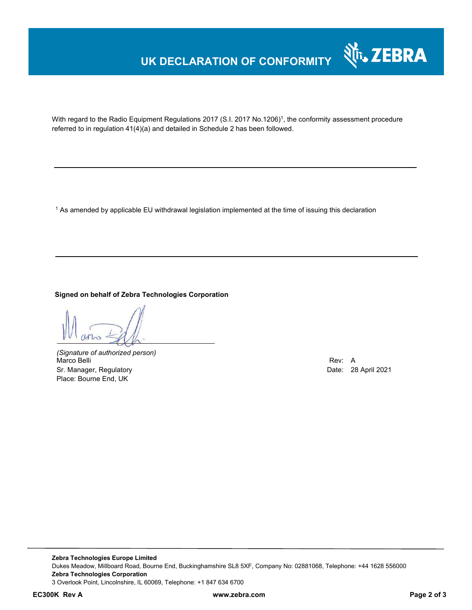# **UK DECLARATION OF CONFORMITY**



With regard to the Radio Equipment Regulations 2017 (S.I. 2017 No.1206)<sup>1</sup>, the conformity assessment procedure referred to in regulation 41(4)(a) and detailed in Schedule 2 has been followed.

1 As amended by applicable EU withdrawal legislation implemented at the time of issuing this declaration

#### **Signed on behalf of Zebra Technologies Corporation**

*(Signature of authorized person)* Marco Belli Rev: A Sr. Manager, Regulatory **Date: 28 April 2021** Place: Bourne End, UK